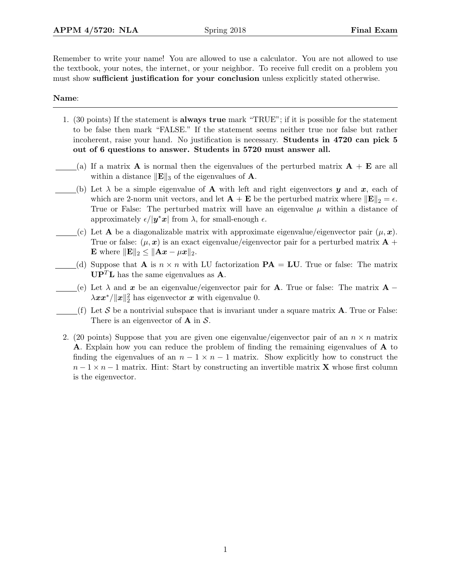Remember to write your name! You are allowed to use a calculator. You are not allowed to use the textbook, your notes, the internet, or your neighbor. To receive full credit on a problem you must show sufficient justification for your conclusion unless explicitly stated otherwise.

## Name:

- 1. (30 points) If the statement is always true mark "TRUE"; if it is possible for the statement to be false then mark "FALSE." If the statement seems neither true nor false but rather incoherent, raise your hand. No justification is necessary. Students in 4720 can pick 5 out of 6 questions to answer. Students in 5720 must answer all.
- (a) If a matrix **A** is normal then the eigenvalues of the perturbed matrix  $\mathbf{A} + \mathbf{E}$  are all within a distance  $\|\mathbf{E}\|_3$  of the eigenvalues of **A**.
- (b) Let  $\lambda$  be a simple eigenvalue of **A** with left and right eigenvectors y and x, each of which are 2-norm unit vectors, and let  $\mathbf{A} + \mathbf{E}$  be the perturbed matrix where  $\|\mathbf{E}\|_2 = \epsilon$ . True or False: The perturbed matrix will have an eigenvalue  $\mu$  within a distance of approximately  $\epsilon/|\mathbf{y}^*\mathbf{x}|$  from  $\lambda$ , for small-enough  $\epsilon$ .
- (c) Let **A** be a diagonalizable matrix with approximate eigenvalue/eigenvector pair  $(\mu, x)$ . True or false:  $(\mu, x)$  is an exact eigenvalue/eigenvector pair for a perturbed matrix  $\mathbf{A}$  + E where  $\|\mathbf{E}\|_2 \leq \|\mathbf{A}\mathbf{x} - \mu \mathbf{x}\|_2.$
- (d) Suppose that **A** is  $n \times n$  with LU factorization **PA** = **LU**. True or false: The matrix  $\mathbf{U}\mathbf{P}^T\mathbf{L}$  has the same eigenvalues as **A**.
- (e) Let  $\lambda$  and x be an eigenvalue/eigenvector pair for **A**. True or false: The matrix **A** −  $\lambda xx^*/\|x\|_2^2$  has eigenvector x with eigenvalue 0.
- (f) Let S be a nontrivial subspace that is invariant under a square matrix  $\bf{A}$ . True or False: There is an eigenvector of  $\bf{A}$  in  $\cal{S}$ .
- 2. (20 points) Suppose that you are given one eigenvalue/eigenvector pair of an  $n \times n$  matrix A. Explain how you can reduce the problem of finding the remaining eigenvalues of A to finding the eigenvalues of an  $n-1 \times n-1$  matrix. Show explicitly how to construct the  $n-1 \times n-1$  matrix. Hint: Start by constructing an invertible matrix **X** whose first column is the eigenvector.